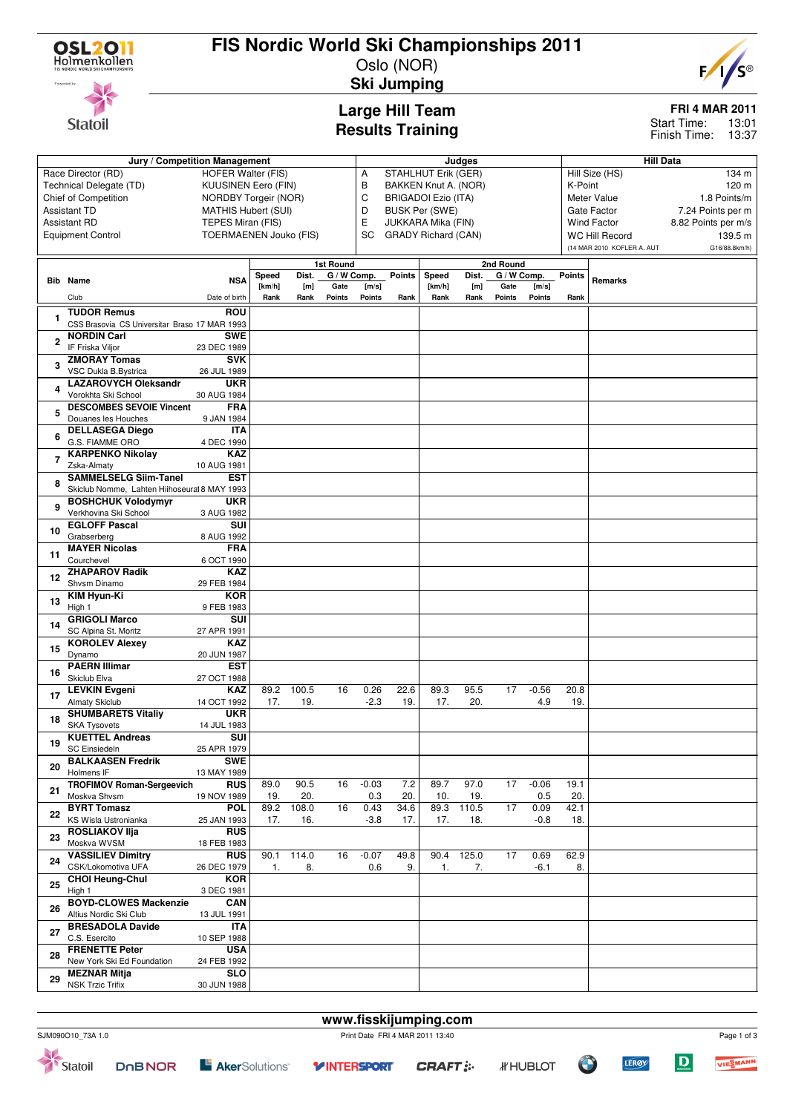

**Statoil** 

## **FIS Nordic World Ski Championships 2011**

Oslo (NOR) **Ski Jumping**



**FRI 4 MAR 2011**

13:01 13:37 Start Time: Finish Time:

**Large Hill Team Results Training**

|                | Jury / Competition Management                             |                             |             |              |               |                                 |               | Judges                               |              |             |             |                             |                            | <b>Hill Data</b>  |  |  |  |  |
|----------------|-----------------------------------------------------------|-----------------------------|-------------|--------------|---------------|---------------------------------|---------------|--------------------------------------|--------------|-------------|-------------|-----------------------------|----------------------------|-------------------|--|--|--|--|
|                | Race Director (RD)<br>HOFER Walter (FIS)                  |                             |             |              |               | Α                               |               | STAHLHUT Erik (GER)                  |              |             |             | Hill Size (HS)<br>134 m     |                            |                   |  |  |  |  |
|                | Technical Delegate (TD)                                   | <b>KUUSINEN Eero (FIN)</b>  |             |              |               | В<br>BAKKEN Knut A. (NOR)       |               |                                      |              |             |             | K-Point<br>120 m            |                            |                   |  |  |  |  |
|                | Chief of Competition                                      | <b>NORDBY Torgeir (NOR)</b> |             |              |               | C<br><b>BRIGADOI Ezio (ITA)</b> |               |                                      |              |             |             | 1.8 Points/m<br>Meter Value |                            |                   |  |  |  |  |
|                | <b>Assistant TD</b>                                       | <b>MATHIS Hubert (SUI)</b>  |             |              |               | D                               |               | Gate Factor<br><b>BUSK Per (SWE)</b> |              |             |             |                             |                            | 7.24 Points per m |  |  |  |  |
|                | <b>Assistant RD</b>                                       | TEPES Miran (FIS)           |             |              |               | E<br>JUKKARA Mika (FIN)         |               |                                      |              |             |             | <b>Wind Factor</b>          | 8.82 Points per m/s        |                   |  |  |  |  |
|                | <b>TOERMAENEN Jouko (FIS)</b><br><b>Equipment Control</b> |                             |             |              |               | SC                              |               | <b>GRADY Richard (CAN)</b>           |              |             |             |                             | <b>WC Hill Record</b>      | 139.5 m           |  |  |  |  |
|                |                                                           |                             |             |              |               |                                 |               |                                      |              |             |             |                             | (14 MAR 2010 KOFLER A. AUT | G16/88.8km/h)     |  |  |  |  |
|                |                                                           | 1st Round                   |             |              |               |                                 | 2nd Round     |                                      |              |             |             |                             |                            |                   |  |  |  |  |
|                |                                                           |                             | Speed       | Dist.        | G / W Comp.   |                                 | <b>Points</b> | Speed                                | Dist.        | G / W Comp. |             | <b>Points</b>               |                            |                   |  |  |  |  |
|                | <b>Bib</b> Name                                           | <b>NSA</b>                  | [km/h]      | [m]          | Gate          | [m/s]                           |               | [km/h]                               | [m]          | Gate        | [m/s]       |                             | Remarks                    |                   |  |  |  |  |
|                | Club                                                      | Date of birth               | Rank        | Rank         | <b>Points</b> | Points                          | Rank          | Rank                                 | Rank         | Points      | Points      | Rank                        |                            |                   |  |  |  |  |
|                | <b>TUDOR Remus</b>                                        | <b>ROU</b>                  |             |              |               |                                 |               |                                      |              |             |             |                             |                            |                   |  |  |  |  |
|                | CSS Brasovia CS Universitar Braso 17 MAR 1993             |                             |             |              |               |                                 |               |                                      |              |             |             |                             |                            |                   |  |  |  |  |
|                | <b>NORDIN Carl</b>                                        | <b>SWE</b>                  |             |              |               |                                 |               |                                      |              |             |             |                             |                            |                   |  |  |  |  |
| $\overline{2}$ | IF Friska Viljor                                          | 23 DEC 1989                 |             |              |               |                                 |               |                                      |              |             |             |                             |                            |                   |  |  |  |  |
|                | <b>ZMORAY Tomas</b>                                       | <b>SVK</b>                  |             |              |               |                                 |               |                                      |              |             |             |                             |                            |                   |  |  |  |  |
| 3              | VSC Dukla B.Bystrica                                      | 26 JUL 1989                 |             |              |               |                                 |               |                                      |              |             |             |                             |                            |                   |  |  |  |  |
|                | <b>LAZAROVYCH Oleksandr</b>                               | <b>UKR</b>                  |             |              |               |                                 |               |                                      |              |             |             |                             |                            |                   |  |  |  |  |
| 4              | Vorokhta Ski School                                       | 30 AUG 1984                 |             |              |               |                                 |               |                                      |              |             |             |                             |                            |                   |  |  |  |  |
|                | <b>DESCOMBES SEVOIE Vincent</b>                           | <b>FRA</b>                  |             |              |               |                                 |               |                                      |              |             |             |                             |                            |                   |  |  |  |  |
| 5              | Douanes les Houches                                       | 9 JAN 1984                  |             |              |               |                                 |               |                                      |              |             |             |                             |                            |                   |  |  |  |  |
|                | <b>DELLASEGA Diego</b>                                    | <b>ITA</b>                  |             |              |               |                                 |               |                                      |              |             |             |                             |                            |                   |  |  |  |  |
| 6              | G.S. FIAMME ORO                                           | 4 DEC 1990                  |             |              |               |                                 |               |                                      |              |             |             |                             |                            |                   |  |  |  |  |
| 7              | <b>KARPENKO Nikolay</b>                                   | <b>KAZ</b>                  |             |              |               |                                 |               |                                      |              |             |             |                             |                            |                   |  |  |  |  |
|                | Zska-Almaty                                               | 10 AUG 1981                 |             |              |               |                                 |               |                                      |              |             |             |                             |                            |                   |  |  |  |  |
| 8              | <b>SAMMELSELG Siim-Tanel</b>                              | <b>EST</b>                  |             |              |               |                                 |               |                                      |              |             |             |                             |                            |                   |  |  |  |  |
|                | Skiclub Nomme, Lahten Hiihoseural 8 MAY 1993              |                             |             |              |               |                                 |               |                                      |              |             |             |                             |                            |                   |  |  |  |  |
| 9              | <b>BOSHCHUK Volodymyr</b>                                 | <b>UKR</b>                  |             |              |               |                                 |               |                                      |              |             |             |                             |                            |                   |  |  |  |  |
|                | Verkhovina Ski School                                     | 3 AUG 1982                  |             |              |               |                                 |               |                                      |              |             |             |                             |                            |                   |  |  |  |  |
| 10             | <b>EGLOFF Pascal</b>                                      | <b>SUI</b>                  |             |              |               |                                 |               |                                      |              |             |             |                             |                            |                   |  |  |  |  |
|                | Grabserberg                                               | 8 AUG 1992                  |             |              |               |                                 |               |                                      |              |             |             |                             |                            |                   |  |  |  |  |
| 11             | <b>MAYER Nicolas</b>                                      | <b>FRA</b>                  |             |              |               |                                 |               |                                      |              |             |             |                             |                            |                   |  |  |  |  |
|                | Courchevel                                                | 6 OCT 1990<br><b>KAZ</b>    |             |              |               |                                 |               |                                      |              |             |             |                             |                            |                   |  |  |  |  |
| 12             | <b>ZHAPAROV Radik</b><br>Shvsm Dinamo                     | 29 FEB 1984                 |             |              |               |                                 |               |                                      |              |             |             |                             |                            |                   |  |  |  |  |
|                | <b>KIM Hyun-Ki</b>                                        | <b>KOR</b>                  |             |              |               |                                 |               |                                      |              |             |             |                             |                            |                   |  |  |  |  |
| 13             | High 1                                                    | 9 FEB 1983                  |             |              |               |                                 |               |                                      |              |             |             |                             |                            |                   |  |  |  |  |
|                | <b>GRIGOLI Marco</b>                                      | SUI                         |             |              |               |                                 |               |                                      |              |             |             |                             |                            |                   |  |  |  |  |
| 14             | SC Alpina St. Moritz                                      | 27 APR 1991                 |             |              |               |                                 |               |                                      |              |             |             |                             |                            |                   |  |  |  |  |
|                | <b>KOROLEV Alexey</b>                                     | <b>KAZ</b>                  |             |              |               |                                 |               |                                      |              |             |             |                             |                            |                   |  |  |  |  |
| 15             | Dynamo                                                    | 20 JUN 1987                 |             |              |               |                                 |               |                                      |              |             |             |                             |                            |                   |  |  |  |  |
|                | <b>PAERN Illimar</b>                                      | <b>EST</b>                  |             |              |               |                                 |               |                                      |              |             |             |                             |                            |                   |  |  |  |  |
| 16             | Skiclub Elva                                              | 27 OCT 1988                 |             |              |               |                                 |               |                                      |              |             |             |                             |                            |                   |  |  |  |  |
| 17             | <b>LEVKIN Evgeni</b>                                      | KAZ                         | 89.2        | 100.5        | 16            | 0.26                            | 22.6          | 89.3                                 | 95.5         | 17          | $-0.56$     | 20.8                        |                            |                   |  |  |  |  |
|                | <b>Almaty Skiclub</b>                                     | 14 OCT 1992                 | 17.         | 19.          |               | $-2.3$                          | 19.           | 17.                                  | 20.          |             | 4.9         | 19.                         |                            |                   |  |  |  |  |
| 18             | <b>SHUMBARETS Vitaliy</b>                                 | <b>UKR</b>                  |             |              |               |                                 |               |                                      |              |             |             |                             |                            |                   |  |  |  |  |
|                | <b>SKA Tysovets</b>                                       | 14 JUL 1983                 |             |              |               |                                 |               |                                      |              |             |             |                             |                            |                   |  |  |  |  |
| 19             | <b>KUETTEL Andreas</b>                                    | $\overline{\text{SUI}}$     |             |              |               |                                 |               |                                      |              |             |             |                             |                            |                   |  |  |  |  |
|                | <b>SC Einsiedeln</b>                                      | 25 APR 1979                 |             |              |               |                                 |               |                                      |              |             |             |                             |                            |                   |  |  |  |  |
| 20             | <b>BALKAASEN Fredrik</b>                                  | <b>SWE</b>                  |             |              |               |                                 |               |                                      |              |             |             |                             |                            |                   |  |  |  |  |
|                | Holmens IF                                                | 13 MAY 1989                 | 89.0        | 90.5         | 16            | $-0.03$                         | 7.2           | 89.7                                 | 97.0         | 17          | $-0.06$     | 19.1                        |                            |                   |  |  |  |  |
| 21             | <b>TROFIMOV Roman-Sergeevich</b>                          | <b>RUS</b>                  |             |              |               |                                 |               |                                      |              |             |             |                             |                            |                   |  |  |  |  |
|                | Moskva Shvsm<br><b>BYRT Tomasz</b>                        | 19 NOV 1989<br><b>POL</b>   | 19.<br>89.2 | 20.<br>108.0 | 16            | 0.3<br>0.43                     | 20.<br>34.6   | 10.<br>89.3                          | 19.<br>110.5 | 17          | 0.5<br>0.09 | 20.<br>42.1                 |                            |                   |  |  |  |  |
| 22             | KS Wisla Ustronianka                                      | 25 JAN 1993                 | 17.         | 16.          |               | $-3.8$                          | 17.           | 17.                                  | 18.          |             | $-0.8$      | 18.                         |                            |                   |  |  |  |  |
|                | <b>ROSLIAKOV IIja</b>                                     | <b>RUS</b>                  |             |              |               |                                 |               |                                      |              |             |             |                             |                            |                   |  |  |  |  |
| 23             | Moskva WVSM                                               | 18 FEB 1983                 |             |              |               |                                 |               |                                      |              |             |             |                             |                            |                   |  |  |  |  |
|                | <b>VASSILIEV Dimitry</b>                                  | <b>RUS</b>                  | 90.1        | 114.0        | 16            | $-0.07$                         | 49.8          | 90.4                                 | 125.0        | 17          | 0.69        | 62.9                        |                            |                   |  |  |  |  |
| 24             | CSK/Lokomotiva UFA                                        | 26 DEC 1979                 | 1.          | 8.           |               | 0.6                             | 9.            | 1.                                   | 7.           |             | $-6.1$      | 8.                          |                            |                   |  |  |  |  |
|                | <b>CHOI Heung-Chul</b>                                    | <b>KOR</b>                  |             |              |               |                                 |               |                                      |              |             |             |                             |                            |                   |  |  |  |  |
| 25             | High 1                                                    | 3 DEC 1981                  |             |              |               |                                 |               |                                      |              |             |             |                             |                            |                   |  |  |  |  |
|                | <b>BOYD-CLOWES Mackenzie</b>                              | <b>CAN</b>                  |             |              |               |                                 |               |                                      |              |             |             |                             |                            |                   |  |  |  |  |
| 26             | Altius Nordic Ski Club                                    | 13 JUL 1991                 |             |              |               |                                 |               |                                      |              |             |             |                             |                            |                   |  |  |  |  |
| 27             | <b>BRESADOLA Davide</b>                                   | ITA                         |             |              |               |                                 |               |                                      |              |             |             |                             |                            |                   |  |  |  |  |
|                | C.S. Esercito                                             | 10 SEP 1988                 |             |              |               |                                 |               |                                      |              |             |             |                             |                            |                   |  |  |  |  |
| 28             | <b>FRENETTE Peter</b>                                     | <b>USA</b>                  |             |              |               |                                 |               |                                      |              |             |             |                             |                            |                   |  |  |  |  |
|                | New York Ski Ed Foundation                                | 24 FEB 1992                 |             |              |               |                                 |               |                                      |              |             |             |                             |                            |                   |  |  |  |  |
| 29             | <b>MEZNAR Mitja</b>                                       | <b>SLO</b>                  |             |              |               |                                 |               |                                      |              |             |             |                             |                            |                   |  |  |  |  |
|                | <b>NSK Trzic Trifix</b>                                   | 30 JUN 1988                 |             |              |               |                                 |               |                                      |              |             |             |                             |                            |                   |  |  |  |  |
|                |                                                           |                             |             |              |               |                                 |               |                                      |              |             |             |                             |                            |                   |  |  |  |  |

**E** AkerSolutions<sup>®</sup>

**CRAFT:** 

**Y INTERSPORT** 



**CONTRACTOR** 

*IF* HUBLOT

VIESMANN

Page 1 of 3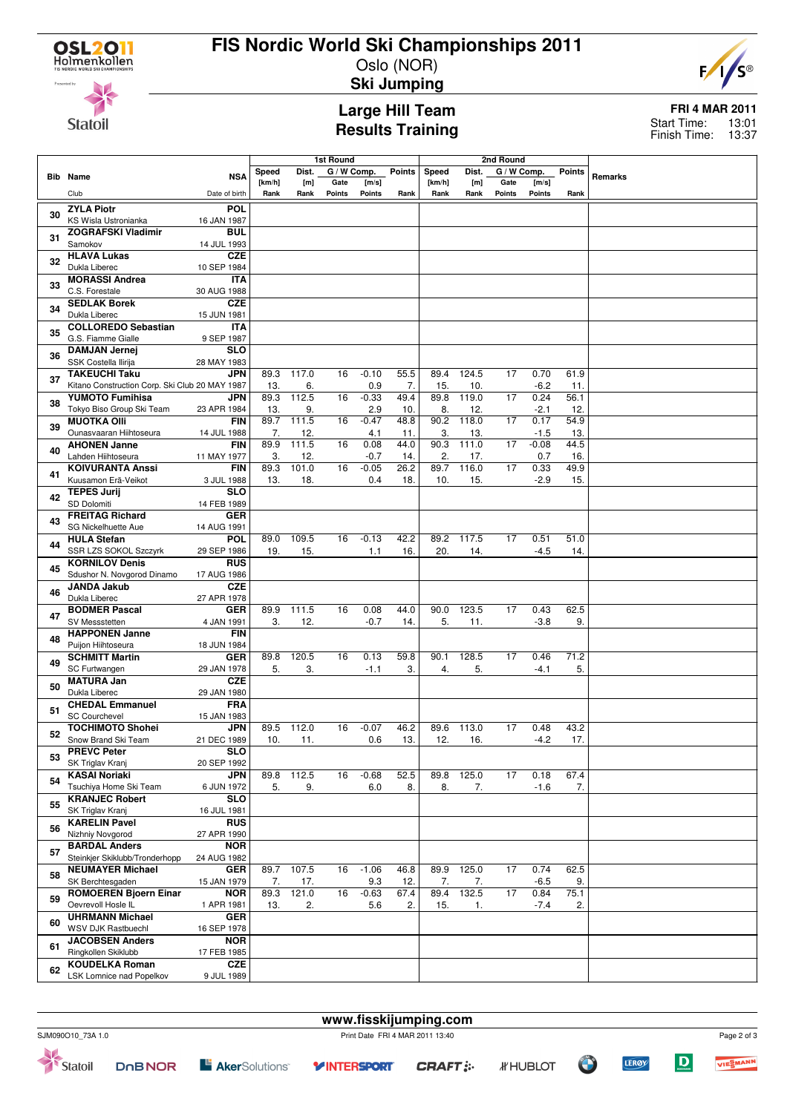

## **FIS Nordic World Ski Championships 2011**

Oslo (NOR) **Ski Jumping**



**Statoil** 

### **Large Hill Team Results Training**

#### **FRI 4 MAR 2011** 13:01 13:37 Start Time: Finish Time:

**Bib Name** Club **NSA** Date of birth **1st Round<br>Dist. G/WC** Speed **[km/h] [m] Rank Rank G / W Comp. Gate Points [m/s] Points Points Rank 2nd Round Speed Dist. [km/h] [m]** Rank Rank **G / W Comp. Gate Points [m/s] Points Points Rank Remarks <sup>30</sup> ZYLA Piotr** KS Wisla Ustronianka **POL** 16 JAN 1987 **<sup>31</sup> ZOGRAFSKI Vladimir** Samokov **BUL** 14 JUL 1993 **<sup>32</sup> HLAVA Lukas** Dukla Liberec **CZE** 10 SEP 1984 **<sup>33</sup> MORASSI Andrea** C.S. Forestale **ITA** 30 AUG 1988 **<sup>34</sup> SEDLAK Borek** Dukla Liberec **CZE** 15 JUN 1981 **<sup>35</sup> COLLOREDO Sebastian** G.S. Fiamme Gialle **ITA** 9 SEP 1987 **<sup>36</sup> DAMJAN Jernej** SSK Costella Ilirija **SLO** 28 MAY 1983 **<sup>37</sup> TAKEUCHI Taku** Kitano Construction Corp. Ski Club 20 MAY 1987 **JPN** 89.3 117.0  $\frac{13.}{89.3}$  112 16 -0.10 55.5  $\frac{0.9}{0.33}$  494 89.4 124.5  $\frac{15.}{89.8}$  119. 17 0.70 61.9  $-6.2$  11.<br>0.24 56.1 **<sup>38</sup> YUMOTO Fumihisa** Tokyo Biso Group Ski Team **JPN** 23 APR 1984 112.5 13. 9.  $16 - 0.33$ 2.9 10. 119.0 8. 12.  $17 \t 0.24$  $-21$  12 **<sup>39</sup> MUOTKA Olli** Ounasvaaran Hiihtoseura **FIN** 14 JUL 1988 89.7 111.5  $\frac{7}{89.9}$  111. 16 -0.47 48.8  $\frac{4.1}{0.08}$  44.  $90.2$  118.0  $\frac{3.}{90.3}$  111.0 17 0.17 54.9  $-1.5$  13.<br>0.08 44.5 **<sup>40</sup> AHONEN Janne** Lahden Hiihtoseura **FIN** 11 MAY 1977  $\frac{1}{3}$ , 111.5 12 16 0.08 44.0  $-0.7$  $\frac{13}{2}$  111.0  $\frac{2.}{89.7}$  116.0  $\frac{17}{17}$  -0.08 16 **<sup>41</sup> KOIVURANTA Anssi** Kuusamon Erä-Veikot **FIN** 3 JUL 1988 89.3 101.0 13. 18. 16 -0.05 26.2 0.4 18. 116.0 10. 15. 17 0.33 49.9  $-2.9$  15 **<sup>42</sup> TEPES Jurij** SD Dolomiti **SLO** 14 FEB 1989 **<sup>43</sup> FREITAG Richard** SG Nickelhuette Aue **GER** 14 AUG 1991 **<sup>44</sup> HULA Stefan** SSR LZS SOKOL Szczyrk **POL** 29 SEP 1986 89.0 109.5 19. 15. 16 -0.13 42.2 1.1 16. 89.2 117.5 20. 14. 17 0.51 51.0  $-4.5$  14 **<sup>45</sup> KORNILOV Denis** Sdushor N. Novgorod Dinamo **RUS** 17 AUG 1986 **<sup>46</sup> JANDA Jakub** Dukla Liberec **CZE** 27 APR 1978 **<sup>47</sup> BODMER Pascal** SV Messetetten **GER** 4 JAN 1991 89.9 111.5 3. 12. 16 0.08 44.0  $-0.7$  14 90.0 123.5 5. 11. 17 0.43 62.5 -3.8 9. **<sup>48</sup> HAPPONEN Janne** Puijon Hiihtoseura **FIN** 18 JUN 1984 **<sup>49</sup> SCHMITT Martin** SC Furtwangen **GER** 29 JAN 1978 89.8 120.5 5. 3. 16 0.13 59.8  $-1.1$   $3.$ 90.1 128.5 4. 5. 17 0.46 71.2  $-4.1$  5. **<sup>50</sup> MATURA Jan** Dukla Liberec **CZE** 29 JAN 1980 **<sup>51</sup> CHEDAL Emmanuel** SC Courchevel **FRA** 15 JAN 1983 **<sup>52</sup> TOCHIMOTO Shohei** Snow Brand Ski Team **JPN** 21 DEC 1989 89.5 112.0 10. 11. 16 -0.07 46.2 0.6 13. 89.6 113.0 12. 16. 17 0.48 43.2  $-42$  17 **<sup>53</sup> PREVC Peter** SK Triglav Kranj **SLO** 20 SEP 1992 **<sup>54</sup> KASAI Noriaki** Tsuchiya Home Ski Team **JPN** 6 JUN 1972 89.8 112.5 5. 9. 16 -0.68 52.5 6.0 8. 89.8 125.0 8. 7. 17 0.18 67.4  $-1.6$  7 **<sup>55</sup> KRANJEC Robert** SK Triglav Kranj **SLO** 16 JUL 1981 **<sup>56</sup> KARELIN Pavel** Nizhniy Novgorod **RUS** 27 APR 1990 **<sup>57</sup> BARDAL Anders** Steinkier Skiklubb/Tronderhopp **NOR** 24 AUG 1982 **<sup>58</sup> NEUMAYER Michael** SK Berchtesgaden **GER** 15 JAN 1979 89.7 107.5 7. 17. 16 -1.06 46.8 9.3 12. 89.9 125.0 7. 7. 17 0.74 62.5  $-6.5$  9 **<sup>59</sup> ROMOEREN Bjoern Einar** Oevrevoll Hosle IL **NOR** 1 APR 1981 89.3 121.0 13. 2. 16 -0.63 67.4 5.6 2. 89.4 132.5 15. 1 17 0.84 75.1  $-7.4$  2 **<sup>60</sup> UHRMANN Michael** WSV DJK Rastbuechl **GER** 16 SEP 1978 **<sup>61</sup> JACOBSEN Anders** Ringkollen Skiklubb **NOR** 17 FEB 1985 **<sup>62</sup> KOUDELKA Roman** LSK Lomnice nad Popelkov **CZE** 9 JUL 1989

SJM090O10\_73A 1.0 Print Date FRI 4 MAR 2011 13:40



**www.fisskijumping.com**

*IFHUBLOT* 

Ő

**LEROY** 

 $\mathbf D$